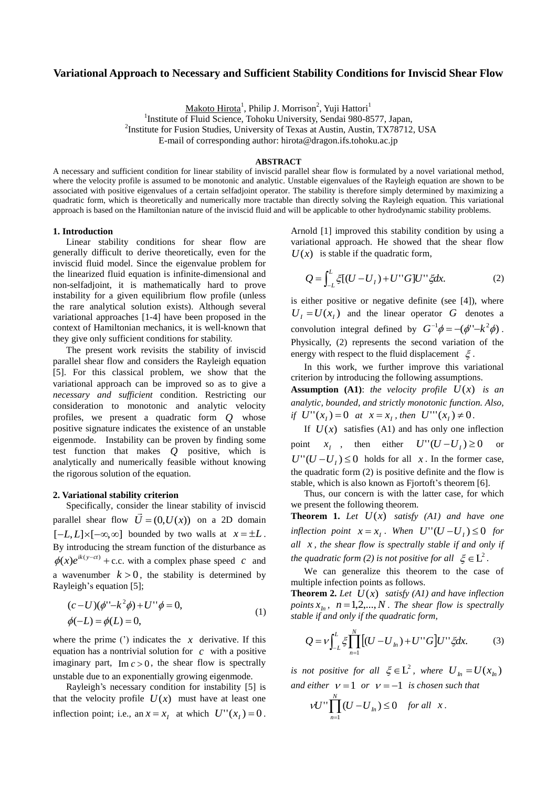# **Variational Approach to Necessary and Sufficient Stability Conditions for Inviscid Shear Flow**

Makoto Hirota<sup>1</sup>, Philip J. Morrison<sup>2</sup>, Yuji Hattori<sup>1</sup>

<sup>1</sup>Institute of Fluid Science, Tohoku University, Sendai 980-8577, Japan,

2 Institute for Fusion Studies, University of Texas at Austin, Austin, TX78712, USA

E-mail of corresponding author: hirota@dragon.ifs.tohoku.ac.jp

# **ABSTRACT**

A necessary and sufficient condition for linear stability of inviscid parallel shear flow is formulated by a novel variational method, where the velocity profile is assumed to be monotonic and analytic. Unstable eigenvalues of the Rayleigh equation are shown to be associated with positive eigenvalues of a certain selfadjoint operator. The stability is therefore simply determined by maximizing a quadratic form, which is theoretically and numerically more tractable than directly solving the Rayleigh equation. This variational approach is based on the Hamiltonian nature of the inviscid fluid and will be applicable to other hydrodynamic stability problems.

#### **1. Introduction**

Linear stability conditions for shear flow are generally difficult to derive theoretically, even for the inviscid fluid model. Since the eigenvalue problem for the linearized fluid equation is infinite-dimensional and non-selfadjoint, it is mathematically hard to prove instability for a given equilibrium flow profile (unless the rare analytical solution exists). Although several variational approaches [1-4] have been proposed in the context of Hamiltonian mechanics, it is well-known that they give only sufficient conditions for stability.

The present work revisits the stability of inviscid parallel shear flow and considers the Rayleigh equation [5]. For this classical problem, we show that the variational approach can be improved so as to give a *necessary and sufficient* condition. Restricting our consideration to monotonic and analytic velocity profiles, we present a quadratic form *Q* whose positive signature indicates the existence of an unstable eigenmode. Instability can be proven by finding some test function that makes *Q* positive, which is analytically and numerically feasible without knowing the rigorous solution of the equation.

#### **2. Variational stability criterion**

Specifically, consider the linear stability of inviscid parallel shear flow  $\overrightarrow{U} = (0, U(x))$  on a 2D domain  $[-L, L] \times [-\infty, \infty]$  bounded by two walls at  $x = \pm L$ . By introducing the stream function of the disturbance as  $\phi(x)e^{ik(y-ct)}$  + c.c. with a complex phase speed c and a wavenumber  $k > 0$ , the stability is determined by Rayleigh's equation [5];

$$
(c-U)(\phi''-k^2\phi) + U''\phi = 0,
$$
  
\n
$$
\phi(-L) = \phi(L) = 0,
$$
 (1)

where the prime  $(')$  indicates the  $x$  derivative. If this equation has a nontrivial solution for  $c$  with a positive imaginary part,  $\text{Im } c > 0$ , the shear flow is spectrally unstable due to an exponentially growing eigenmode.

Rayleigh's necessary condition for instability [5] is that the velocity profile  $U(x)$  must have at least one inflection point; i.e., an  $x = x_I$  at which  $U''(x_I) = 0$ . Arnold [1] improved this stability condition by using a variational approach. He showed that the shear flow  $U(x)$  is stable if the quadratic form,

$$
Q = \int_{-L}^{L} \xi [(U - U_I) + U'' G] U'' \xi dx.
$$
 (2)

is either positive or negative definite (see [4]), where  $U_I = U(x_I)$  and the linear operator G denotes a convolution integral defined by  $G^{-1}\phi = -(\phi'' - k^2\phi)$ . Physically, (2) represents the second variation of the energy with respect to the fluid displacement  $\xi$ .

In this work, we further improve this variational criterion by introducing the following assumptions.

**Assumption** (A1): *the velocity profile*  $U(x)$  *is an analytic, bounded, and strictly monotonic function. Also, if*  $U''(x_1) = 0$  *at*  $x = x_1$ *, then*  $U'''(x_1) \neq 0$ *.* 

If  $U(x)$  satisfies (A1) and has only one inflection point  $X_I$ , then either  $U''(U-U_I) \ge 0$ or  $U''(U-U_I) \le 0$  holds for all *x*. In the former case, the quadratic form (2) is positive definite and the flow is stable, which is also known as Fjortoft's theorem [6].

Thus, our concern is with the latter case, for which we present the following theorem.

**Theorem 1.** *Let*  $U(x)$  *satisfy*  $(A1)$  *and have one inflection point*  $x = x_1$ . When  $U''(U-U_1) \le 0$  for *all x , the shear flow is spectrally stable if and only if the quadratic form* (2) is not positive for all  $\xi \in L^2$ .

We can generalize this theorem to the case of multiple infection points as follows.

**Theorem 2.** Let  $U(x)$  satisfy (A1) and have inflection *points*  $x_h$ ,  $n = 1, 2, ..., N$ . The shear flow is spectrally *stable if and only if the quadratic form,*

$$
Q = V \int_{-L}^{L} \xi \prod_{n=1}^{N} [(U - U_{n}) + U''G] U'' \xi dx.
$$
 (3)

*is not positive for all*  $\xi \in L^2$ , where  $U_{1n} = U(x_{1n})$ *and either*  $v = 1$  *or*  $v = -1$  *is chosen such that* 

$$
VU'' \prod_{n=1}^{N} (U - U_{1n}) \leq 0 \quad \text{for all} \quad x \, .
$$